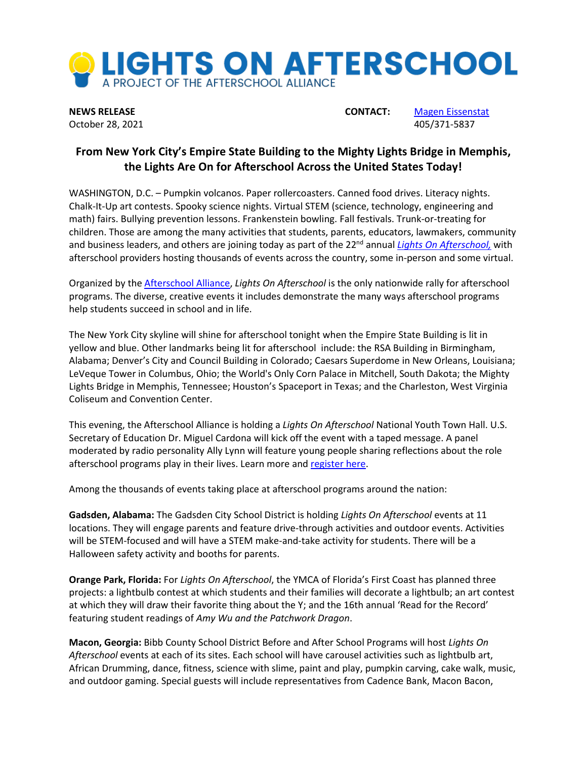

**NEWS RELEASE CONTACT:** [Magen Eissenstat](mailto:lisa@prsolutionsdc.com) October 28, 2021 405/371-5837

## **From New York City's Empire State Building to the Mighty Lights Bridge in Memphis, the Lights Are On for Afterschool Across the United States Today!**

WASHINGTON, D.C. – Pumpkin volcanos. Paper rollercoasters. Canned food drives. Literacy nights. Chalk-It-Up art contests. Spooky science nights. Virtual STEM (science, technology, engineering and math) fairs. Bullying prevention lessons. Frankenstein bowling. Fall festivals. Trunk-or-treating for children. Those are among the many activities that students, parents, educators, lawmakers, community and business leaders, and others are joining today as part of the 22 nd annual *[Lights On Afterschool,](http://www.afterschoolalliance.org/loa.cfm)* with afterschool providers hosting thousands of events across the country, some in-person and some virtual.

Organized by th[e Afterschool Alliance,](http://www.afterschoolalliance.org/) *Lights On Afterschool* is the only nationwide rally for afterschool programs. The diverse, creative events it includes demonstrate the many ways afterschool programs help students succeed in school and in life.

The New York City skyline will shine for afterschool tonight when the Empire State Building is lit in yellow and blue. Other landmarks being lit for afterschool include: the RSA Building in Birmingham, Alabama; Denver's City and Council Building in Colorado; Caesars Superdome in New Orleans, Louisiana; LeVeque Tower in Columbus, Ohio; the World's Only Corn Palace in Mitchell, South Dakota; the Mighty Lights Bridge in Memphis, Tennessee; Houston's Spaceport in Texas; and the Charleston, West Virginia Coliseum and Convention Center.

This evening, the Afterschool Alliance is holding a *Lights On Afterschool* National Youth Town Hall. U.S. Secretary of Education Dr. Miguel Cardona will kick off the event with a taped message. A panel moderated by radio personality Ally Lynn will feature young people sharing reflections about the role afterschool programs play in their lives. Learn more and [register here.](http://www.afterschoolalliance.org/webinars.cfm?ID=C3D2DE6F-5056-A82E-7AFEA04C425F83EE&utm_source=sendinblue&utm_campaign=Lights%20On%20is%20Next%20Week%20Updates%20for%20States&utm_medium=email)

Among the thousands of events taking place at afterschool programs around the nation:

**Gadsden, Alabama:** The Gadsden City School District is holding *Lights On Afterschool* events at 11 locations. They will engage parents and feature drive-through activities and outdoor events. Activities will be STEM-focused and will have a STEM make-and-take activity for students. There will be a Halloween safety activity and booths for parents.

**Orange Park, Florida:** For *Lights On Afterschool*, the YMCA of Florida's First Coast has planned three projects: a lightbulb contest at which students and their families will decorate a lightbulb; an art contest at which they will draw their favorite thing about the Y; and the 16th annual 'Read for the Record' featuring student readings of *Amy Wu and the Patchwork Dragon*.

**Macon, Georgia:** Bibb County School District Before and After School Programs will host *Lights On Afterschool* events at each of its sites. Each school will have carousel activities such as lightbulb art, African Drumming, dance, fitness, science with slime, paint and play, pumpkin carving, cake walk, music, and outdoor gaming. Special guests will include representatives from Cadence Bank, Macon Bacon,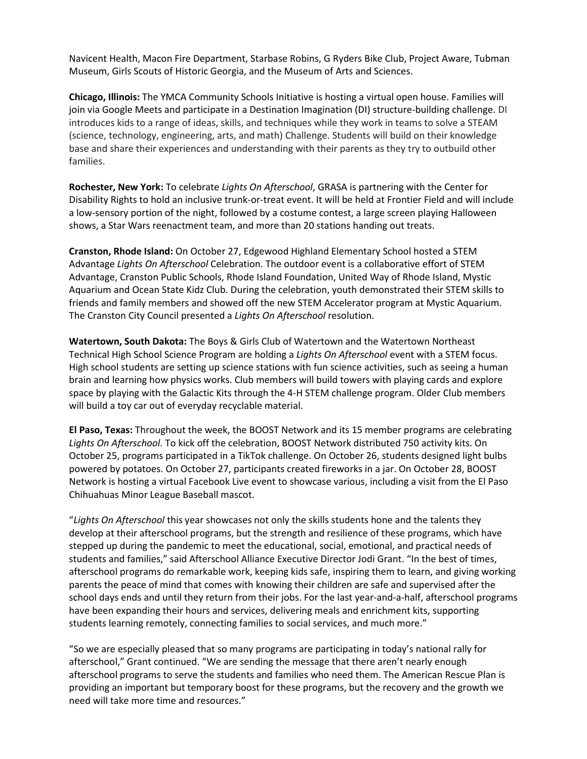Navicent Health, Macon Fire Department, Starbase Robins, G Ryders Bike Club, Project Aware, Tubman Museum, Girls Scouts of Historic Georgia, and the Museum of Arts and Sciences.

**Chicago, Illinois:** The YMCA Community Schools Initiative is hosting a virtual open house. Families will join via Google Meets and participate in a Destination Imagination (DI) structure-building challenge. DI introduces kids to a range of ideas, skills, and techniques while they work in teams to solve a STEAM (science, technology, engineering, arts, and math) Challenge. Students will build on their knowledge base and share their experiences and understanding with their parents as they try to outbuild other families.

**Rochester, New York:** To celebrate *Lights On Afterschool*, GRASA is partnering with the Center for Disability Rights to hold an inclusive trunk-or-treat event. It will be held at Frontier Field and will include a low-sensory portion of the night, followed by a costume contest, a large screen playing Halloween shows, a Star Wars reenactment team, and more than 20 stations handing out treats.

**Cranston, Rhode Island:** On October 27, Edgewood Highland Elementary School hosted a STEM Advantage *Lights On Afterschool* Celebration. The outdoor event is a collaborative effort of STEM Advantage, Cranston Public Schools, Rhode Island Foundation, United Way of Rhode Island, Mystic Aquarium and Ocean State Kidz Club. During the celebration, youth demonstrated their STEM skills to friends and family members and showed off the new STEM Accelerator program at Mystic Aquarium. The Cranston City Council presented a *Lights On Afterschool* resolution.

**Watertown, South Dakota:** The Boys & Girls Club of Watertown and the Watertown Northeast Technical High School Science Program are holding a *Lights On Afterschool* event with a STEM focus. High school students are setting up science stations with fun science activities, such as seeing a human brain and learning how physics works. Club members will build towers with playing cards and explore space by playing with the Galactic Kits through the 4-H STEM challenge program. Older Club members will build a toy car out of everyday recyclable material.

**El Paso, Texas:** Throughout the week, the BOOST Network and its 15 member programs are celebrating *Lights On Afterschool*. To kick off the celebration, BOOST Network distributed 750 activity kits. On October 25, programs participated in a TikTok challenge. On October 26, students designed light bulbs powered by potatoes. On October 27, participants created fireworks in a jar. On October 28, BOOST Network is hosting a virtual Facebook Live event to showcase various, including a visit from the El Paso Chihuahuas Minor League Baseball mascot.

"*Lights On Afterschool* this year showcases not only the skills students hone and the talents they develop at their afterschool programs, but the strength and resilience of these programs, which have stepped up during the pandemic to meet the educational, social, emotional, and practical needs of students and families," said Afterschool Alliance Executive Director Jodi Grant. "In the best of times, afterschool programs do remarkable work, keeping kids safe, inspiring them to learn, and giving working parents the peace of mind that comes with knowing their children are safe and supervised after the school days ends and until they return from their jobs. For the last year-and-a-half, afterschool programs have been expanding their hours and services, delivering meals and enrichment kits, supporting students learning remotely, connecting families to social services, and much more."

"So we are especially pleased that so many programs are participating in today's national rally for afterschool," Grant continued. "We are sending the message that there aren't nearly enough afterschool programs to serve the students and families who need them. The American Rescue Plan is providing an important but temporary boost for these programs, but the recovery and the growth we need will take more time and resources."